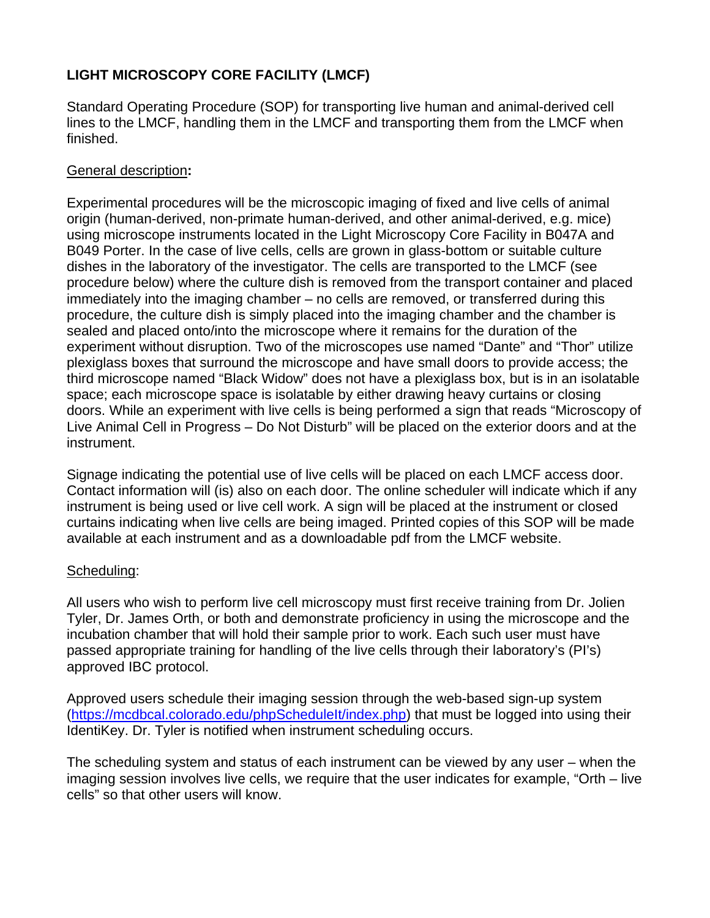# **LIGHT MICROSCOPY CORE FACILITY (LMCF)**

Standard Operating Procedure (SOP) for transporting live human and animal-derived cell lines to the LMCF, handling them in the LMCF and transporting them from the LMCF when finished.

## General description**:**

Experimental procedures will be the microscopic imaging of fixed and live cells of animal origin (human-derived, non-primate human-derived, and other animal-derived, e.g. mice) using microscope instruments located in the Light Microscopy Core Facility in B047A and B049 Porter. In the case of live cells, cells are grown in glass-bottom or suitable culture dishes in the laboratory of the investigator. The cells are transported to the LMCF (see procedure below) where the culture dish is removed from the transport container and placed immediately into the imaging chamber – no cells are removed, or transferred during this procedure, the culture dish is simply placed into the imaging chamber and the chamber is sealed and placed onto/into the microscope where it remains for the duration of the experiment without disruption. Two of the microscopes use named "Dante" and "Thor" utilize plexiglass boxes that surround the microscope and have small doors to provide access; the third microscope named "Black Widow" does not have a plexiglass box, but is in an isolatable space; each microscope space is isolatable by either drawing heavy curtains or closing doors. While an experiment with live cells is being performed a sign that reads "Microscopy of Live Animal Cell in Progress – Do Not Disturb" will be placed on the exterior doors and at the instrument.

Signage indicating the potential use of live cells will be placed on each LMCF access door. Contact information will (is) also on each door. The online scheduler will indicate which if any instrument is being used or live cell work. A sign will be placed at the instrument or closed curtains indicating when live cells are being imaged. Printed copies of this SOP will be made available at each instrument and as a downloadable pdf from the LMCF website.

## Scheduling:

All users who wish to perform live cell microscopy must first receive training from Dr. Jolien Tyler, Dr. James Orth, or both and demonstrate proficiency in using the microscope and the incubation chamber that will hold their sample prior to work. Each such user must have passed appropriate training for handling of the live cells through their laboratory's (PI's) approved IBC protocol.

Approved users schedule their imaging session through the web-based sign-up system (https://mcdbcal.colorado.edu/phpScheduleIt/index.php) that must be logged into using their IdentiKey. Dr. Tyler is notified when instrument scheduling occurs.

The scheduling system and status of each instrument can be viewed by any user – when the imaging session involves live cells, we require that the user indicates for example, "Orth – live cells" so that other users will know.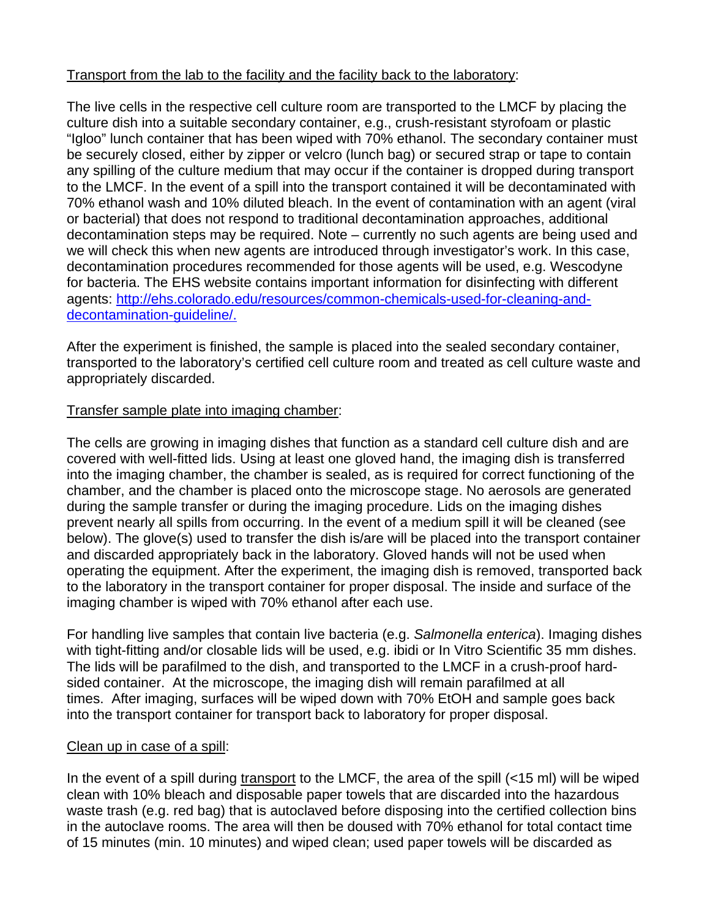## Transport from the lab to the facility and the facility back to the laboratory:

The live cells in the respective cell culture room are transported to the LMCF by placing the culture dish into a suitable secondary container, e.g., crush-resistant styrofoam or plastic "Igloo" lunch container that has been wiped with 70% ethanol. The secondary container must be securely closed, either by zipper or velcro (lunch bag) or secured strap or tape to contain any spilling of the culture medium that may occur if the container is dropped during transport to the LMCF. In the event of a spill into the transport contained it will be decontaminated with 70% ethanol wash and 10% diluted bleach. In the event of contamination with an agent (viral or bacterial) that does not respond to traditional decontamination approaches, additional decontamination steps may be required. Note – currently no such agents are being used and we will check this when new agents are introduced through investigator's work. In this case, decontamination procedures recommended for those agents will be used, e.g. Wescodyne for bacteria. The EHS website contains important information for disinfecting with different agents: http://ehs.colorado.edu/resources/common-chemicals-used-for-cleaning-anddecontamination-guideline/.

After the experiment is finished, the sample is placed into the sealed secondary container, transported to the laboratory's certified cell culture room and treated as cell culture waste and appropriately discarded.

## Transfer sample plate into imaging chamber:

The cells are growing in imaging dishes that function as a standard cell culture dish and are covered with well-fitted lids. Using at least one gloved hand, the imaging dish is transferred into the imaging chamber, the chamber is sealed, as is required for correct functioning of the chamber, and the chamber is placed onto the microscope stage. No aerosols are generated during the sample transfer or during the imaging procedure. Lids on the imaging dishes prevent nearly all spills from occurring. In the event of a medium spill it will be cleaned (see below). The glove(s) used to transfer the dish is/are will be placed into the transport container and discarded appropriately back in the laboratory. Gloved hands will not be used when operating the equipment. After the experiment, the imaging dish is removed, transported back to the laboratory in the transport container for proper disposal. The inside and surface of the imaging chamber is wiped with 70% ethanol after each use.

For handling live samples that contain live bacteria (e.g. *Salmonella enterica*). Imaging dishes with tight-fitting and/or closable lids will be used, e.g. ibidi or In Vitro Scientific 35 mm dishes. The lids will be parafilmed to the dish, and transported to the LMCF in a crush-proof hardsided container. At the microscope, the imaging dish will remain parafilmed at all times. After imaging, surfaces will be wiped down with 70% EtOH and sample goes back into the transport container for transport back to laboratory for proper disposal.

## Clean up in case of a spill:

In the event of a spill during transport to the LMCF, the area of the spill (<15 ml) will be wiped clean with 10% bleach and disposable paper towels that are discarded into the hazardous waste trash (e.g. red bag) that is autoclaved before disposing into the certified collection bins in the autoclave rooms. The area will then be doused with 70% ethanol for total contact time of 15 minutes (min. 10 minutes) and wiped clean; used paper towels will be discarded as